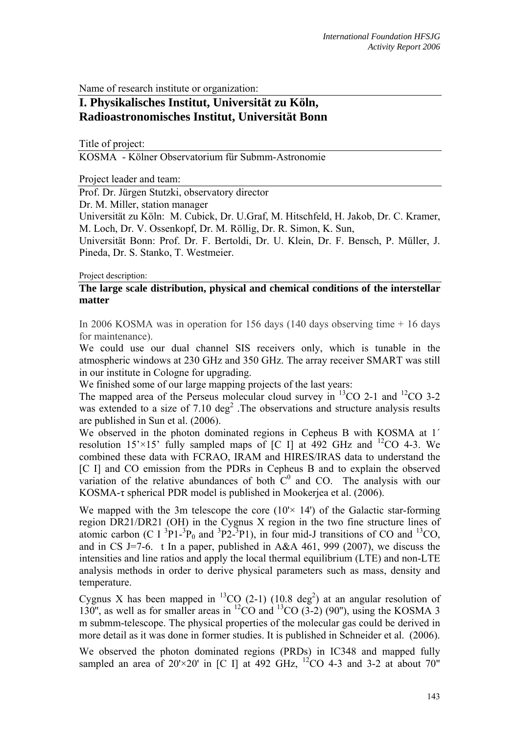Name of research institute or organization:

# **I. Physikalisches Institut, Universität zu Köln, Radioastronomisches Institut, Universität Bonn**

Title of project:

KOSMA - Kölner Observatorium für Submm-Astronomie

Project leader and team:

Prof. Dr. Jürgen Stutzki, observatory director

Dr. M. Miller, station manager

Universität zu Köln: M. Cubick, Dr. U.Graf, M. Hitschfeld, H. Jakob, Dr. C. Kramer, M. Loch, Dr. V. Ossenkopf, Dr. M. Röllig, Dr. R. Simon, K. Sun,

Universität Bonn: Prof. Dr. F. Bertoldi, Dr. U. Klein, Dr. F. Bensch, P. Müller, J. Pineda, Dr. S. Stanko, T. Westmeier.

Project description:

# **The large scale distribution, physical and chemical conditions of the interstellar matter**

In 2006 KOSMA was in operation for 156 days (140 days observing time + 16 days for maintenance).

We could use our dual channel SIS receivers only, which is tunable in the atmospheric windows at 230 GHz and 350 GHz. The array receiver SMART was still in our institute in Cologne for upgrading.

We finished some of our large mapping projects of the last years:

The mapped area of the Perseus molecular cloud survey in  ${}^{13}$ CO 2-1 and  ${}^{12}$ CO 3-2 was extended to a size of  $7.10 \text{ deg}^2$ . The observations and structure analysis results are published in Sun et al. (2006).

We observed in the photon dominated regions in Cepheus B with KOSMA at 1´ resolution  $15' \times 15'$  fully sampled maps of [C I] at 492 GHz and  $12$ CO 4-3. We combined these data with FCRAO, IRAM and HIRES/IRAS data to understand the [C I] and CO emission from the PDRs in Cepheus B and to explain the observed variation of the relative abundances of both  $C^0$  and CO. The analysis with our KOSMA-τ spherical PDR model is published in Mookerjea et al. (2006).

We mapped with the 3m telescope the core  $(10 \times 14)$  of the Galactic star-forming region DR21/DR21 (OH) in the Cygnus X region in the two fine structure lines of atomic carbon (C I  ${}^{3}P1-{}^{3}P_{0}$  and  ${}^{3}P2-{}^{3}P1$ ), in four mid-J transitions of CO and  ${}^{13}CO$ , and in CS J=7-6. t In a paper, published in A&A 461, 999 (2007), we discuss the intensities and line ratios and apply the local thermal equilibrium (LTE) and non-LTE analysis methods in order to derive physical parameters such as mass, density and temperature.

Cygnus X has been mapped in <sup>13</sup>CO (2-1) (10.8 deg<sup>2</sup>) at an angular resolution of 130", as well as for smaller areas in  ${}^{12}CO$  and  ${}^{13}CO$  (3-2) (90"), using the KOSMA 3 m submm-telescope. The physical properties of the molecular gas could be derived in more detail as it was done in former studies. It is published in Schneider et al. (2006).

We observed the photon dominated regions (PRDs) in IC348 and mapped fully sampled an area of  $20 \times 20'$  in [C I] at 492 GHz,  $^{12}$ CO 4-3 and 3-2 at about 70"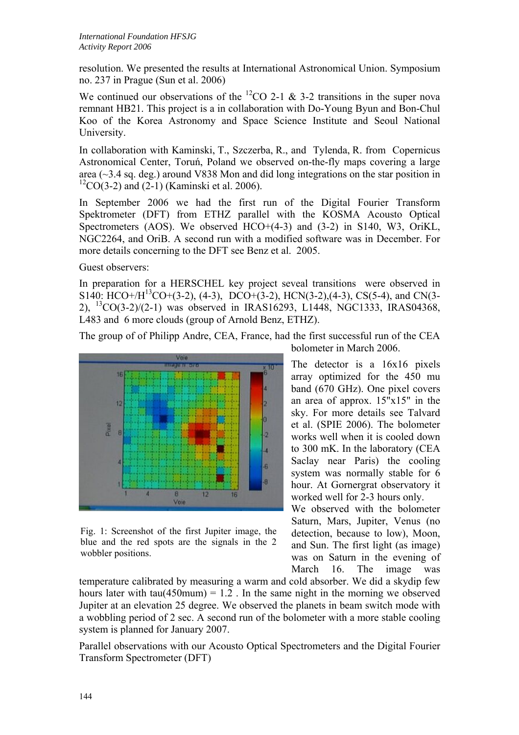resolution. We presented the results at International Astronomical Union. Symposium no. 237 in Prague (Sun et al. 2006)

We continued our observations of the <sup>12</sup>CO 2-1 & 3-2 transitions in the super nova remnant HB21. This project is a in collaboration with Do-Young Byun and Bon-Chul Koo of the Korea Astronomy and Space Science Institute and Seoul National University.

In collaboration with Kaminski, T., Szczerba, R., and Tylenda, R. from Copernicus Astronomical Center, Toruń, Poland we observed on-the-fly maps covering a large area (~3.4 sq. deg.) around V838 Mon and did long integrations on the star position in  ${}^{12}CO(3-2)$  and (2-1) (Kaminski et al. 2006).

In September 2006 we had the first run of the Digital Fourier Transform Spektrometer (DFT) from ETHZ parallel with the KOSMA Acousto Optical Spectrometers (AOS). We observed HCO+(4-3) and (3-2) in S140, W3, OriKL, NGC2264, and OriB. A second run with a modified software was in December. For more details concerning to the DFT see Benz et al. 2005.

Guest observers:

In preparation for a HERSCHEL key project seveal transitions were observed in S140: HCO+/H<sup>13</sup>CO+(3-2), (4-3), DCO+(3-2), HCN(3-2), (4-3), CS(5-4), and CN(3-2), 13CO(3-2)/(2-1) was observed in IRAS16293, L1448, NGC1333, IRAS04368, L483 and 6 more clouds (group of Arnold Benz, ETHZ).

The group of of Philipp Andre, CEA, France, had the first successful run of the CEA bolometer in March 2006.



Fig. 1: Screenshot of the first Jupiter image, the blue and the red spots are the signals in the 2 wobbler positions.

The detector is a 16x16 pixels array optimized for the 450 mu band (670 GHz). One pixel covers an area of approx. 15"x15" in the sky. For more details see Talvard et al. (SPIE 2006). The bolometer works well when it is cooled down to 300 mK. In the laboratory (CEA Saclay near Paris) the cooling system was normally stable for 6

worked well for 2-3 hours only. We observed with the bolometer Saturn, Mars, Jupiter, Venus (no detection, because to low), Moon, and Sun. The first light (as image) was on Saturn in the evening of March 16. The image was

hour. At Gornergrat observatory it

temperature calibrated by measuring a warm and cold absorber. We did a skydip few hours later with tau( $450$ mum) = 1.2. In the same night in the morning we observed Jupiter at an elevation 25 degree. We observed the planets in beam switch mode with a wobbling period of 2 sec. A second run of the bolometer with a more stable cooling system is planned for January 2007.

Parallel observations with our Acousto Optical Spectrometers and the Digital Fourier Transform Spectrometer (DFT)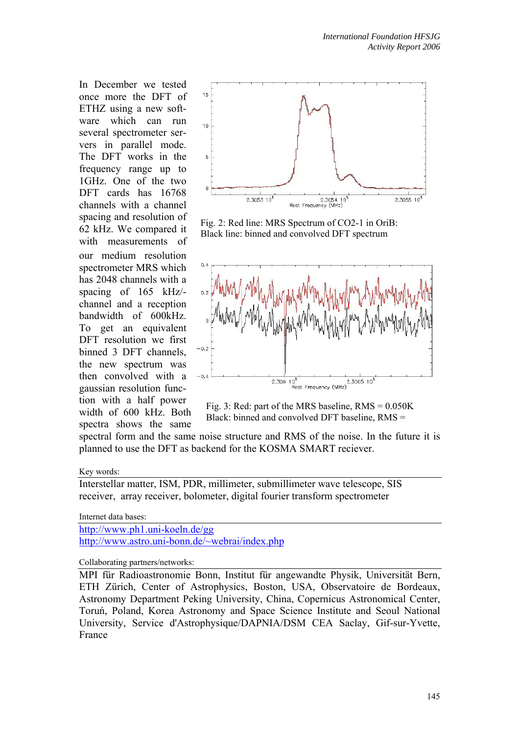In December we tested once more the DFT of ETHZ using a new software which can run several spectrometer servers in parallel mode. The DFT works in the frequency range up to 1GHz. One of the two DFT cards has 16768 channels with a channel spacing and resolution of 62 kHz. We compared it with measurements of our medium resolution spectrometer MRS which has 2048 channels with a spacing of 165 kHz/ channel and a reception bandwidth of 600kHz. To get an equivalent DFT resolution we first binned 3 DFT channels, the new spectrum was then convolved with a gaussian resolution function with a half power width of 600 kHz. Both spectra shows the same



Fig. 2: Red line: MRS Spectrum of CO2-1 in OriB: Black line: binned and convolved DFT spectrum



Fig. 3: Red: part of the MRS baseline,  $RMS = 0.050K$ Black: binned and convolved DFT baseline, RMS =

spectral form and the same noise structure and RMS of the noise. In the future it is planned to use the DFT as backend for the KOSMA SMART reciever.

### Key words:

Interstellar matter, ISM, PDR, millimeter, submillimeter wave telescope, SIS receiver, array receiver, bolometer, digital fourier transform spectrometer

#### Internet data bases:

http://www.ph1.uni-koeln.de/gg http://www.astro.uni-bonn.de/~webrai/index.php

Collaborating partners/networks:

MPI für Radioastronomie Bonn, Institut für angewandte Physik, Universität Bern, ETH Zürich, Center of Astrophysics, Boston, USA, Observatoire de Bordeaux, Astronomy Department Peking University, China, Copernicus Astronomical Center, Toruń, Poland, Korea Astronomy and Space Science Institute and Seoul National University, Service d'Astrophysique/DAPNIA/DSM CEA Saclay, Gif-sur-Yvette, France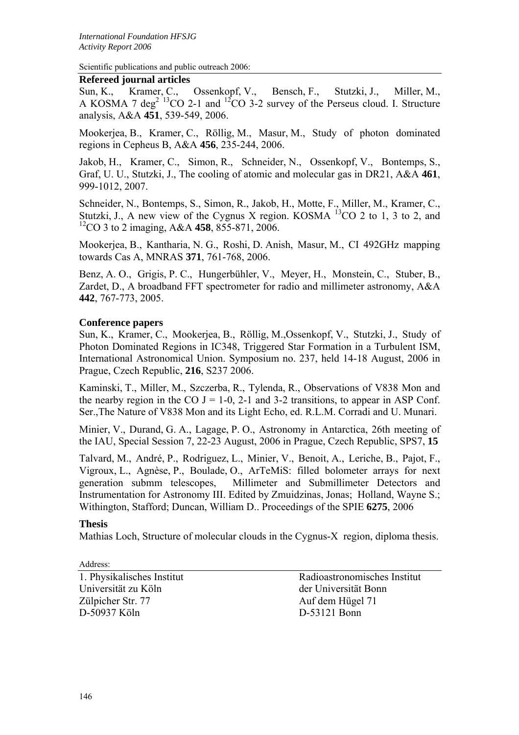Scientific publications and public outreach 2006:

### **Refereed journal articles**

Sun, K., Kramer, C., Ossenkopf, V., Bensch, F., Stutzki, J., Miller, M., A KOSMA 7 deg<sup>2 13</sup>CO 2-1 and <sup>12</sup>CO 3-2 survey of the Perseus cloud. I. Structure analysis, A&A **451**, 539-549, 2006.

Mookerjea, B., Kramer, C., Röllig, M., Masur, M., Study of photon dominated regions in Cepheus B, A&A **456**, 235-244, 2006.

Jakob, H., Kramer, C., Simon, R., Schneider, N., Ossenkopf, V., Bontemps, S., Graf, U. U., Stutzki, J., The cooling of atomic and molecular gas in DR21, A&A **461**, 999-1012, 2007.

Schneider, N., Bontemps, S., Simon, R., Jakob, H., Motte, F., Miller, M., Kramer, C., Stutzki, J., A new view of the Cygnus X region. KOSMA  $^{13}$ CO 2 to 1, 3 to 2, and 12CO 3 to 2 imaging, A&A **458**, 855-871, 2006.

Mookerjea, B., Kantharia, N. G., Roshi, D. Anish, Masur, M., CI 492GHz mapping towards Cas A, MNRAS **371**, 761-768, 2006.

Benz, A. O., Grigis, P. C., Hungerbühler, V., Meyer, H., Monstein, C., Stuber, B., Zardet, D., A broadband FFT spectrometer for radio and millimeter astronomy, A&A **442**, 767-773, 2005.

# **Conference papers**

Sun, K., Kramer, C., Mookerjea, B., Röllig, M.,Ossenkopf, V., Stutzki, J., Study of Photon Dominated Regions in IC348, Triggered Star Formation in a Turbulent ISM, International Astronomical Union. Symposium no. 237, held 14-18 August, 2006 in Prague, Czech Republic, **216**, S237 2006.

Kaminski, T., Miller, M., Szczerba, R., Tylenda, R., Observations of V838 Mon and the nearby region in the CO  $J = 1-0$ , 2-1 and 3-2 transitions, to appear in ASP Conf. Ser.,The Nature of V838 Mon and its Light Echo, ed. R.L.M. Corradi and U. Munari.

Minier, V., Durand, G. A., Lagage, P. O., Astronomy in Antarctica, 26th meeting of the IAU, Special Session 7, 22-23 August, 2006 in Prague, Czech Republic, SPS7, **15**

Talvard, M., André, P., Rodriguez, L., Minier, V., Benoit, A., Leriche, B., Pajot, F., Vigroux, L., Agnèse, P., Boulade, O., ArTeMiS: filled bolometer arrays for next generation submm telescopes, Millimeter and Submillimeter Detectors and Instrumentation for Astronomy III. Edited by Zmuidzinas, Jonas; Holland, Wayne S.; Withington, Stafford; Duncan, William D.. Proceedings of the SPIE **6275**, 2006

## **Thesis**

Mathias Loch, Structure of molecular clouds in the Cygnus-X region, diploma thesis.

Address:

Universität zu Köln der Universität Bonn Zülpicher Str. 77 Auf dem Hügel 71 D-50937 Köln D-53121 Bonn

1. Physikalisches Institut Radioastronomisches Institut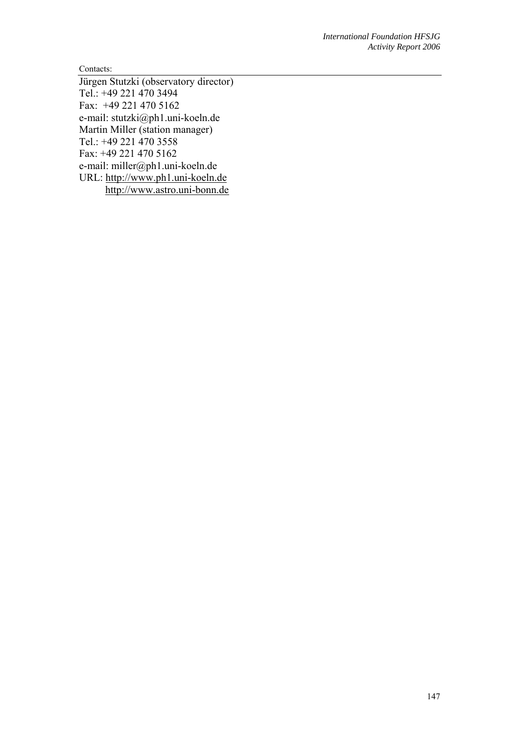Contacts:

Jürgen Stutzki (observatory director) Tel.: +49 221 470 3494 Fax: +49 221 470 5162 e-mail: stutzki@ph1.uni-koeln.de Martin Miller (station manager) Tel.: +49 221 470 3558 Fax: +49 221 470 5162 e-mail: miller@ph1.uni-koeln.de URL: http://www.ph1.uni-koeln.de http://www.astro.uni-bonn.de